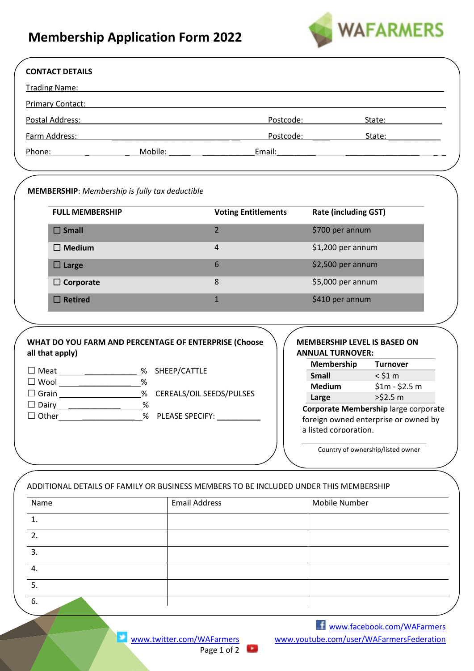## **Membership Application Form 2022**



| <b>CONTACT DETAILS</b>                                                                                         |                                                                                                                                                                                                                               |                            |                                                                       |                                                                                                                                                                                                                                |
|----------------------------------------------------------------------------------------------------------------|-------------------------------------------------------------------------------------------------------------------------------------------------------------------------------------------------------------------------------|----------------------------|-----------------------------------------------------------------------|--------------------------------------------------------------------------------------------------------------------------------------------------------------------------------------------------------------------------------|
| <b>Trading Name:</b>                                                                                           |                                                                                                                                                                                                                               |                            |                                                                       |                                                                                                                                                                                                                                |
| <b>Primary Contact:</b>                                                                                        |                                                                                                                                                                                                                               |                            |                                                                       |                                                                                                                                                                                                                                |
| Postal Address:                                                                                                |                                                                                                                                                                                                                               |                            | Postcode: _________                                                   | State: The Contract of the Contract of the Contract of the Contract of the Contract of the Contract of the Contract of the Contract of the Contract of the Contract of the Contract of the Contract of the Contract of the Con |
| Farm Address:                                                                                                  |                                                                                                                                                                                                                               |                            | Postcode: State:                                                      |                                                                                                                                                                                                                                |
| Phone: and the contract of the contract of the contract of the contract of the contract of the contract of the | Mobile: and the motion of the motion of the motion of the motion of the motion of the motion of the motion of the motion of the motion of the motion of the motion of the motion of the motion of the motion of the motion of | Email:                     |                                                                       |                                                                                                                                                                                                                                |
|                                                                                                                |                                                                                                                                                                                                                               |                            |                                                                       |                                                                                                                                                                                                                                |
|                                                                                                                |                                                                                                                                                                                                                               |                            |                                                                       |                                                                                                                                                                                                                                |
| <b>MEMBERSHIP:</b> Membership is fully tax deductible                                                          |                                                                                                                                                                                                                               |                            |                                                                       |                                                                                                                                                                                                                                |
| <b>FULL MEMBERSHIP</b>                                                                                         |                                                                                                                                                                                                                               | <b>Voting Entitlements</b> | <b>Rate (including GST)</b>                                           |                                                                                                                                                                                                                                |
| $\square$ Small                                                                                                |                                                                                                                                                                                                                               | $\overline{2}$             | \$700 per annum                                                       |                                                                                                                                                                                                                                |
| $\Box$ Medium                                                                                                  |                                                                                                                                                                                                                               | $\overline{4}$             | \$1,200 per annum                                                     |                                                                                                                                                                                                                                |
| $\square$ Large                                                                                                |                                                                                                                                                                                                                               | 6                          | \$2,500 per annum                                                     |                                                                                                                                                                                                                                |
| $\Box$ Corporate                                                                                               |                                                                                                                                                                                                                               | 8                          | \$5,000 per annum                                                     |                                                                                                                                                                                                                                |
| $\square$ Retired                                                                                              |                                                                                                                                                                                                                               | $\mathbf{1}$               | \$410 per annum                                                       |                                                                                                                                                                                                                                |
|                                                                                                                |                                                                                                                                                                                                                               |                            |                                                                       |                                                                                                                                                                                                                                |
| WHAT DO YOU FARM AND PERCENTAGE OF ENTERPRISE (Choose<br>all that apply)                                       |                                                                                                                                                                                                                               |                            | MEMBERSHIP LEVEL IS BASED ON<br><b>ANNUAL TURNOVER:</b><br>Membership | <b>Turnover</b>                                                                                                                                                                                                                |
| Meat _____________________% SHEEP/CATTLE<br>□ Wool ____________________%                                       |                                                                                                                                                                                                                               |                            | <b>Small</b>                                                          | $<$ \$1 $m$                                                                                                                                                                                                                    |
| □ Grain _____________________% CEREALS/OIL SEEDS/PULSES                                                        |                                                                                                                                                                                                                               |                            | <b>Medium</b><br><b>Large Exercise 1999</b>                           | $$1m - $2.5m$<br>>52.5 m                                                                                                                                                                                                       |
| □ Dairy _____________________%                                                                                 |                                                                                                                                                                                                                               |                            |                                                                       | Corporate Membership large corporate                                                                                                                                                                                           |
| Other                                                                                                          | ___________________% PLEASE SPECIFY: _                                                                                                                                                                                        |                            | foreign owned enterprise or owned by                                  |                                                                                                                                                                                                                                |
|                                                                                                                |                                                                                                                                                                                                                               |                            | a listed corporation.                                                 |                                                                                                                                                                                                                                |
|                                                                                                                |                                                                                                                                                                                                                               |                            |                                                                       | Country of ownership/listed owner                                                                                                                                                                                              |
|                                                                                                                |                                                                                                                                                                                                                               |                            |                                                                       |                                                                                                                                                                                                                                |
| ADDITIONAL DETAILS OF FAMILY OR BUSINESS MEMBERS TO BE INCLUDED UNDER THIS MEMBERSHIP                          |                                                                                                                                                                                                                               |                            |                                                                       |                                                                                                                                                                                                                                |
| Name                                                                                                           | <b>Email Address</b>                                                                                                                                                                                                          |                            | Mobile Number                                                         |                                                                                                                                                                                                                                |
| 1.                                                                                                             |                                                                                                                                                                                                                               |                            |                                                                       |                                                                                                                                                                                                                                |
| 2.                                                                                                             |                                                                                                                                                                                                                               |                            |                                                                       |                                                                                                                                                                                                                                |
| 3.                                                                                                             |                                                                                                                                                                                                                               |                            |                                                                       |                                                                                                                                                                                                                                |
| 4.                                                                                                             |                                                                                                                                                                                                                               |                            |                                                                       |                                                                                                                                                                                                                                |
|                                                                                                                |                                                                                                                                                                                                                               |                            |                                                                       |                                                                                                                                                                                                                                |

5. 6.

Page 1 of 2

 [www.facebook.com/WAFarmers](http://www.facebook.com/WAFarmers) www.twitter.com/WAFarmers www.youtube.com/user/WAFarmersFederation